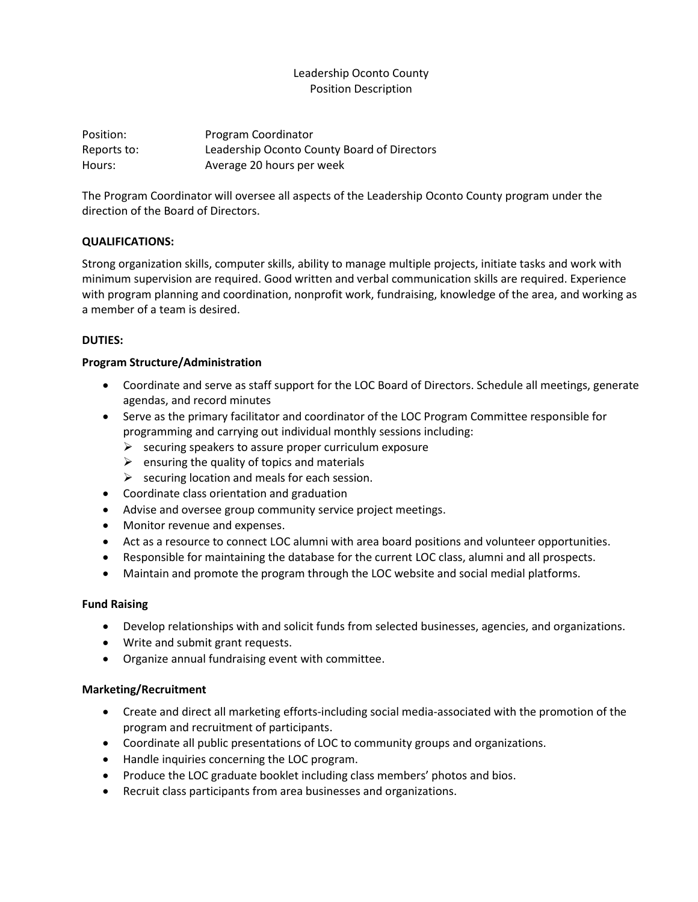# Leadership Oconto County Position Description

Position: Program Coordinator Reports to: Leadership Oconto County Board of Directors Hours: Average 20 hours per week

The Program Coordinator will oversee all aspects of the Leadership Oconto County program under the direction of the Board of Directors.

## **QUALIFICATIONS:**

Strong organization skills, computer skills, ability to manage multiple projects, initiate tasks and work with minimum supervision are required. Good written and verbal communication skills are required. Experience with program planning and coordination, nonprofit work, fundraising, knowledge of the area, and working as a member of a team is desired.

## **DUTIES:**

## **Program Structure/Administration**

- Coordinate and serve as staff support for the LOC Board of Directors. Schedule all meetings, generate agendas, and record minutes
- Serve as the primary facilitator and coordinator of the LOC Program Committee responsible for programming and carrying out individual monthly sessions including:
	- $\triangleright$  securing speakers to assure proper curriculum exposure
	- $\triangleright$  ensuring the quality of topics and materials
	- $\triangleright$  securing location and meals for each session.
- Coordinate class orientation and graduation
- Advise and oversee group community service project meetings.
- Monitor revenue and expenses.
- Act as a resource to connect LOC alumni with area board positions and volunteer opportunities.
- Responsible for maintaining the database for the current LOC class, alumni and all prospects.
- Maintain and promote the program through the LOC website and social medial platforms.

#### **Fund Raising**

- Develop relationships with and solicit funds from selected businesses, agencies, and organizations.
- Write and submit grant requests.
- Organize annual fundraising event with committee.

#### **Marketing/Recruitment**

- Create and direct all marketing efforts-including social media-associated with the promotion of the program and recruitment of participants.
- Coordinate all public presentations of LOC to community groups and organizations.
- Handle inquiries concerning the LOC program.
- Produce the LOC graduate booklet including class members' photos and bios.
- Recruit class participants from area businesses and organizations.